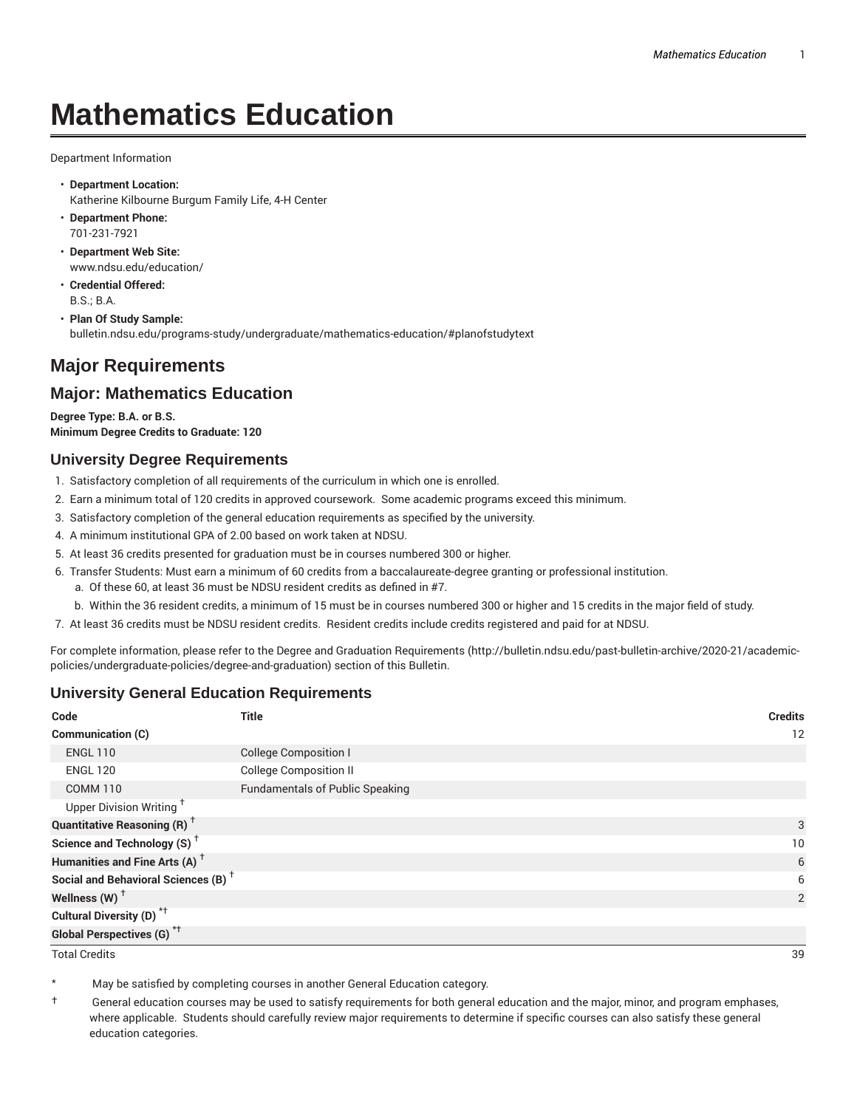# **Mathematics Education**

Department Information

- **Department Location:** Katherine Kilbourne Burgum Family Life, 4-H Center
- **Department Phone:** 701-231-7921
- **Department Web Site:** www.ndsu.edu/education/
- **Credential Offered:** B.S.; B.A.
- **Plan Of Study Sample:** bulletin.ndsu.edu/programs-study/undergraduate/mathematics-education/#planofstudytext

## **Major Requirements**

### **Major: Mathematics Education**

**Degree Type: B.A. or B.S. Minimum Degree Credits to Graduate: 120**

#### **University Degree Requirements**

- 1. Satisfactory completion of all requirements of the curriculum in which one is enrolled.
- 2. Earn a minimum total of 120 credits in approved coursework. Some academic programs exceed this minimum.
- 3. Satisfactory completion of the general education requirements as specified by the university.
- 4. A minimum institutional GPA of 2.00 based on work taken at NDSU.
- 5. At least 36 credits presented for graduation must be in courses numbered 300 or higher.
- 6. Transfer Students: Must earn a minimum of 60 credits from a baccalaureate-degree granting or professional institution.
	- a. Of these 60, at least 36 must be NDSU resident credits as defined in #7.
	- b. Within the 36 resident credits, a minimum of 15 must be in courses numbered 300 or higher and 15 credits in the major field of study.
- 7. At least 36 credits must be NDSU resident credits. Resident credits include credits registered and paid for at NDSU.

For complete information, please refer to the Degree and Graduation Requirements (http://bulletin.ndsu.edu/past-bulletin-archive/2020-21/academicpolicies/undergraduate-policies/degree-and-graduation) section of this Bulletin.

#### **University General Education Requirements**

| Code                                            | <b>Title</b>                           | <b>Credits</b> |
|-------------------------------------------------|----------------------------------------|----------------|
| Communication (C)                               |                                        | 12             |
| <b>ENGL 110</b>                                 | <b>College Composition I</b>           |                |
| <b>ENGL 120</b>                                 | <b>College Composition II</b>          |                |
| <b>COMM 110</b>                                 | <b>Fundamentals of Public Speaking</b> |                |
| Upper Division Writing <sup>+</sup>             |                                        |                |
| <b>Quantitative Reasoning (R)</b> <sup>†</sup>  |                                        | 3              |
| Science and Technology (S) <sup>+</sup>         |                                        | 10             |
| Humanities and Fine Arts (A) <sup>+</sup>       |                                        | 6              |
| Social and Behavioral Sciences (B) <sup>+</sup> |                                        | 6              |
| Wellness $(W)$ <sup>+</sup>                     |                                        | 2              |
| Cultural Diversity (D) <sup>*†</sup>            |                                        |                |
| <b>Global Perspectives (G)<sup>*†</sup></b>     |                                        |                |

Total Credits 39

May be satisfied by completing courses in another General Education category.

† General education courses may be used to satisfy requirements for both general education and the major, minor, and program emphases, where applicable. Students should carefully review major requirements to determine if specific courses can also satisfy these general education categories.